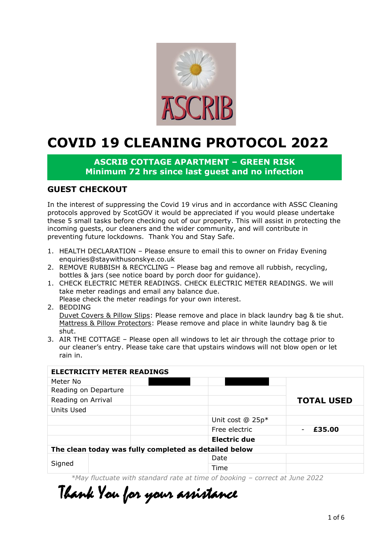

## **COVID 19 CLEANING PROTOCOL 2022**

## **ASCRIB COTTAGE APARTMENT – GREEN RISK Minimum 72 hrs since last guest and no infection**

## **GUEST CHECKOUT**

In the interest of suppressing the Covid 19 virus and in accordance with ASSC Cleaning protocols approved by ScotGOV it would be appreciated if you would please undertake these 5 small tasks before checking out of our property. This will assist in protecting the incoming guests, our cleaners and the wider community, and will contribute in preventing future lockdowns. Thank You and Stay Safe.

- 1. HEALTH DECLARATION Please ensure to email this to owner on Friday Evening enquiries@staywithusonskye.co.uk
- 2. REMOVE RUBBISH & RECYCLING Please bag and remove all rubbish, recycling, bottles & jars (see notice board by porch door for guidance).
- 1. CHECK ELECTRIC METER READINGS. CHECK ELECTRIC METER READINGS. We will take meter readings and email any balance due.
- Please check the meter readings for your own interest.
- 2. BEDDING

Duvet Covers & Pillow Slips: Please remove and place in black laundry bag & tie shut. Mattress & Pillow Protectors: Please remove and place in white laundry bag & tie shut.

3. AIR THE COTTAGE – Please open all windows to let air through the cottage prior to our cleaner's entry. Please take care that upstairs windows will not blow open or let rain in.

|                                                       | <b>ELECTRICITY METER READINGS</b> |  |                                |                   |
|-------------------------------------------------------|-----------------------------------|--|--------------------------------|-------------------|
| Meter No                                              |                                   |  |                                |                   |
| Reading on Departure                                  |                                   |  |                                |                   |
| Reading on Arrival                                    |                                   |  |                                | <b>TOTAL USED</b> |
| Units Used                                            |                                   |  |                                |                   |
|                                                       |                                   |  | Unit cost $@$ 25p <sup>*</sup> |                   |
|                                                       |                                   |  | Free electric                  | £35.00            |
|                                                       |                                   |  | Electric due                   |                   |
| The clean today was fully completed as detailed below |                                   |  |                                |                   |
|                                                       |                                   |  | Date                           |                   |
| Signed                                                |                                   |  | Time                           |                   |

*\*May fluctuate with standard rate at time of booking – correct at June 2022*

Thank You for your assistance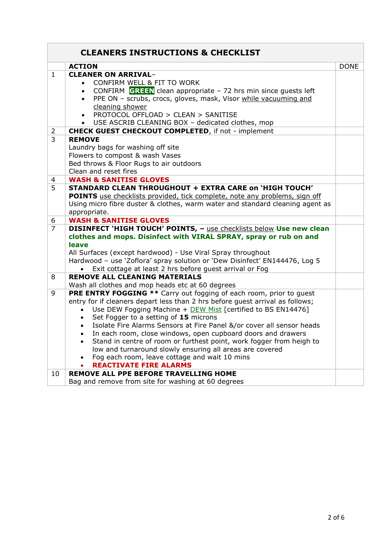| <b>CLEANERS INSTRUCTIONS &amp; CHECKLIST</b> |                                                                                                                                                                                                                                                                                                                                                                                                                                                                                                                                                                                                                                                                                                                   |             |
|----------------------------------------------|-------------------------------------------------------------------------------------------------------------------------------------------------------------------------------------------------------------------------------------------------------------------------------------------------------------------------------------------------------------------------------------------------------------------------------------------------------------------------------------------------------------------------------------------------------------------------------------------------------------------------------------------------------------------------------------------------------------------|-------------|
|                                              | <b>ACTION</b>                                                                                                                                                                                                                                                                                                                                                                                                                                                                                                                                                                                                                                                                                                     | <b>DONE</b> |
| $\mathbf{1}$                                 | <b>CLEANER ON ARRIVAL-</b><br>CONFIRM WELL & FIT TO WORK<br>$\bullet$<br>CONFIRM GREEN clean appropriate $-72$ hrs min since guests left<br>PPE ON - scrubs, crocs, gloves, mask, Visor while vacuuming and<br>$\bullet$<br>cleaning shower<br>PROTOCOL OFFLOAD > CLEAN > SANITISE<br>$\bullet$<br>USE ASCRIB CLEANING BOX - dedicated clothes, mop                                                                                                                                                                                                                                                                                                                                                               |             |
| $\overline{2}$                               | <b>CHECK GUEST CHECKOUT COMPLETED, if not - implement</b>                                                                                                                                                                                                                                                                                                                                                                                                                                                                                                                                                                                                                                                         |             |
| 3                                            | <b>REMOVE</b><br>Laundry bags for washing off site<br>Flowers to compost & wash Vases<br>Bed throws & Floor Rugs to air outdoors<br>Clean and reset fires                                                                                                                                                                                                                                                                                                                                                                                                                                                                                                                                                         |             |
| $\overline{4}$                               | <b>WASH &amp; SANITISE GLOVES</b>                                                                                                                                                                                                                                                                                                                                                                                                                                                                                                                                                                                                                                                                                 |             |
| 5                                            | <b>STANDARD CLEAN THROUGHOUT + EXTRA CARE on 'HIGH TOUCH'</b><br><b>POINTS</b> use checklists provided, tick complete, note any problems, sign off<br>Using micro fibre duster & clothes, warm water and standard cleaning agent as<br>appropriate.                                                                                                                                                                                                                                                                                                                                                                                                                                                               |             |
| 6                                            | <b>WASH &amp; SANITISE GLOVES</b>                                                                                                                                                                                                                                                                                                                                                                                                                                                                                                                                                                                                                                                                                 |             |
| $\overline{7}$                               | DISINFECT 'HIGH TOUCH' POINTS, - use checklists below Use new clean<br>clothes and mops. Disinfect with VIRAL SPRAY, spray or rub on and<br>leave<br>All Surfaces (except hardwood) - Use Viral Spray throughout<br>Hardwood - use 'Zoflora' spray solution or 'Dew Disinfect' EN144476, Log 5<br>Exit cottage at least 2 hrs before guest arrival or Fog                                                                                                                                                                                                                                                                                                                                                         |             |
| 8                                            | <b>REMOVE ALL CLEANING MATERIALS</b><br>Wash all clothes and mop heads etc at 60 degrees                                                                                                                                                                                                                                                                                                                                                                                                                                                                                                                                                                                                                          |             |
| 9                                            | <b>PRE ENTRY FOGGING **</b> Carry out fogging of each room, prior to guest<br>entry for if cleaners depart less than 2 hrs before guest arrival as follows;<br>Use DEW Fogging Machine + DEW Mist [certified to BS EN14476]<br>$\bullet$<br>Set Fogger to a setting of 15 microns<br>Isolate Fire Alarms Sensors at Fire Panel &/or cover all sensor heads<br>$\bullet$<br>In each room, close windows, open cupboard doors and drawers<br>$\bullet$<br>Stand in centre of room or furthest point, work fogger from heigh to<br>$\bullet$<br>low and turnaround slowly ensuring all areas are covered<br>Fog each room, leave cottage and wait 10 mins<br>$\bullet$<br><b>REACTIVATE FIRE ALARMS</b><br>$\bullet$ |             |
| 10                                           | <b>REMOVE ALL PPE BEFORE TRAVELLING HOME</b><br>Bag and remove from site for washing at 60 degrees                                                                                                                                                                                                                                                                                                                                                                                                                                                                                                                                                                                                                |             |

**r**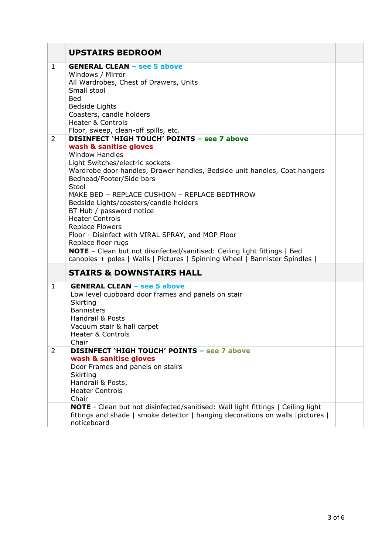|                | <b>UPSTAIRS BEDROOM</b>                                                                                      |  |
|----------------|--------------------------------------------------------------------------------------------------------------|--|
| $\mathbf{1}$   | <b>GENERAL CLEAN - see 5 above</b>                                                                           |  |
|                | Windows / Mirror<br>All Wardrobes, Chest of Drawers, Units                                                   |  |
|                | Small stool                                                                                                  |  |
|                | <b>Bed</b>                                                                                                   |  |
|                | Bedside Lights                                                                                               |  |
|                | Coasters, candle holders<br><b>Heater &amp; Controls</b>                                                     |  |
|                | Floor, sweep, clean-off spills, etc.                                                                         |  |
| $\overline{2}$ | <b>DISINFECT 'HIGH TOUCH' POINTS - see 7 above</b>                                                           |  |
|                | wash & sanitise gloves                                                                                       |  |
|                | <b>Window Handles</b>                                                                                        |  |
|                | Light Switches/electric sockets<br>Wardrobe door handles, Drawer handles, Bedside unit handles, Coat hangers |  |
|                | Bedhead/Footer/Side bars                                                                                     |  |
|                | Stool                                                                                                        |  |
|                | MAKE BED - REPLACE CUSHION - REPLACE BEDTHROW                                                                |  |
|                | Bedside Lights/coasters/candle holders                                                                       |  |
|                | BT Hub / password notice<br><b>Heater Controls</b>                                                           |  |
|                | <b>Replace Flowers</b>                                                                                       |  |
|                | Floor - Disinfect with VIRAL SPRAY, and MOP Floor                                                            |  |
|                | Replace floor rugs                                                                                           |  |
|                | NOTE - Clean but not disinfected/sanitised: Ceiling light fittings   Bed                                     |  |
|                | canopies + poles   Walls   Pictures   Spinning Wheel   Bannister Spindles                                    |  |
|                | <b>STAIRS &amp; DOWNSTAIRS HALL</b>                                                                          |  |
| $\mathbf{1}$   | <b>GENERAL CLEAN - see 5 above</b>                                                                           |  |
|                | Low level cupboard door frames and panels on stair<br>Skirting                                               |  |
|                | <b>Bannisters</b>                                                                                            |  |
|                | Handrail & Posts                                                                                             |  |
|                | Vacuum stair & hall carpet                                                                                   |  |
|                | <b>Heater &amp; Controls</b>                                                                                 |  |
| $\overline{2}$ | Chair<br><b>DISINFECT 'HIGH TOUCH' POINTS - see 7 above</b>                                                  |  |
|                | wash & sanitise gloves                                                                                       |  |
|                | Door Frames and panels on stairs                                                                             |  |
|                | Skirting                                                                                                     |  |
|                | Handrail & Posts,                                                                                            |  |
|                | <b>Heater Controls</b><br>Chair                                                                              |  |
|                | <b>NOTE</b> - Clean but not disinfected/sanitised: Wall light fittings   Ceiling light                       |  |
|                | fittings and shade   smoke detector   hanging decorations on walls   pictures                                |  |
|                | noticeboard                                                                                                  |  |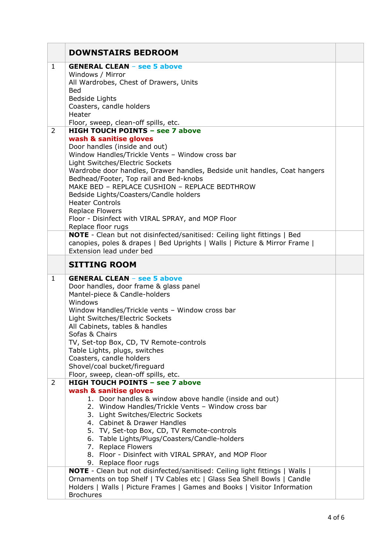|                | <b>DOWNSTAIRS BEDROOM</b>                                                                                           |  |
|----------------|---------------------------------------------------------------------------------------------------------------------|--|
| $\mathbf{1}$   | <b>GENERAL CLEAN - see 5 above</b>                                                                                  |  |
|                | Windows / Mirror<br>All Wardrobes, Chest of Drawers, Units                                                          |  |
|                | <b>Bed</b>                                                                                                          |  |
|                | Bedside Lights                                                                                                      |  |
|                | Coasters, candle holders<br>Heater                                                                                  |  |
|                | Floor, sweep, clean-off spills, etc.                                                                                |  |
| $\overline{2}$ | <b>HIGH TOUCH POINTS - see 7 above</b>                                                                              |  |
|                | wash & sanitise gloves<br>Door handles (inside and out)                                                             |  |
|                | Window Handles/Trickle Vents - Window cross bar                                                                     |  |
|                | Light Switches/Electric Sockets                                                                                     |  |
|                | Wardrobe door handles, Drawer handles, Bedside unit handles, Coat hangers<br>Bedhead/Footer, Top rail and Bed-knobs |  |
|                | MAKE BED - REPLACE CUSHION - REPLACE BEDTHROW                                                                       |  |
|                | Bedside Lights/Coasters/Candle holders                                                                              |  |
|                | <b>Heater Controls</b>                                                                                              |  |
|                | <b>Replace Flowers</b><br>Floor - Disinfect with VIRAL SPRAY, and MOP Floor                                         |  |
|                | Replace floor rugs                                                                                                  |  |
|                | NOTE - Clean but not disinfected/sanitised: Ceiling light fittings   Bed                                            |  |
|                | canopies, poles & drapes   Bed Uprights   Walls   Picture & Mirror Frame  <br>Extension lead under bed              |  |
|                |                                                                                                                     |  |
|                | <b>SITTING ROOM</b>                                                                                                 |  |
| $\mathbf{1}$   | <b>GENERAL CLEAN - see 5 above</b><br>Door handles, door frame & glass panel                                        |  |
|                | Mantel-piece & Candle-holders                                                                                       |  |
|                | Windows                                                                                                             |  |
|                | Window Handles/Trickle vents - Window cross bar                                                                     |  |
|                | Light Switches/Electric Sockets<br>All Cabinets, tables & handles                                                   |  |
|                | Sofas & Chairs                                                                                                      |  |
|                | TV, Set-top Box, CD, TV Remote-controls                                                                             |  |
|                | Table Lights, plugs, switches<br>Coasters, candle holders                                                           |  |
|                | Shovel/coal bucket/fireguard                                                                                        |  |
|                | Floor, sweep, clean-off spills, etc.                                                                                |  |
| $\overline{2}$ | <b>HIGH TOUCH POINTS - see 7 above</b>                                                                              |  |
|                | wash & sanitise gloves<br>1. Door handles & window above handle (inside and out)                                    |  |
|                | 2. Window Handles/Trickle Vents - Window cross bar                                                                  |  |
|                | 3. Light Switches/Electric Sockets                                                                                  |  |
|                | 4. Cabinet & Drawer Handles<br>5. TV, Set-top Box, CD, TV Remote-controls                                           |  |
|                | 6. Table Lights/Plugs/Coasters/Candle-holders                                                                       |  |
|                | 7. Replace Flowers                                                                                                  |  |
|                | 8. Floor - Disinfect with VIRAL SPRAY, and MOP Floor                                                                |  |
|                | 9. Replace floor rugs<br>NOTE - Clean but not disinfected/sanitised: Ceiling light fittings   Walls                 |  |
|                | Ornaments on top Shelf   TV Cables etc   Glass Sea Shell Bowls   Candle                                             |  |
|                | Holders   Walls   Picture Frames   Games and Books   Visitor Information                                            |  |
|                | <b>Brochures</b>                                                                                                    |  |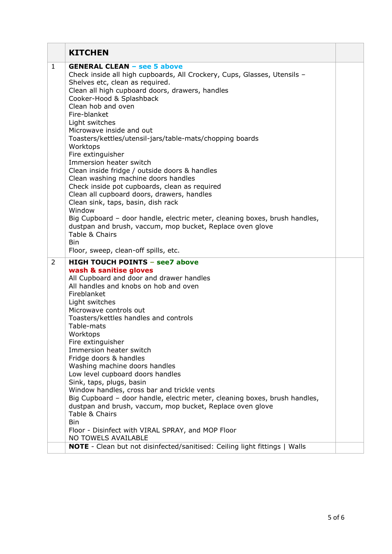|                | <b>KITCHEN</b>                                                                                                                                                                                                                                                                                                                                                                                                                                                                                                                                                                                                                                                                                                                                                                                                                                                                                         |  |
|----------------|--------------------------------------------------------------------------------------------------------------------------------------------------------------------------------------------------------------------------------------------------------------------------------------------------------------------------------------------------------------------------------------------------------------------------------------------------------------------------------------------------------------------------------------------------------------------------------------------------------------------------------------------------------------------------------------------------------------------------------------------------------------------------------------------------------------------------------------------------------------------------------------------------------|--|
| 1              | <b>GENERAL CLEAN - see 5 above</b><br>Check inside all high cupboards, All Crockery, Cups, Glasses, Utensils -<br>Shelves etc, clean as required.<br>Clean all high cupboard doors, drawers, handles<br>Cooker-Hood & Splashback<br>Clean hob and oven<br>Fire-blanket<br>Light switches<br>Microwave inside and out<br>Toasters/kettles/utensil-jars/table-mats/chopping boards<br>Worktops<br>Fire extinguisher<br>Immersion heater switch<br>Clean inside fridge / outside doors & handles<br>Clean washing machine doors handles<br>Check inside pot cupboards, clean as required<br>Clean all cupboard doors, drawers, handles<br>Clean sink, taps, basin, dish rack<br>Window<br>Big Cupboard - door handle, electric meter, cleaning boxes, brush handles,<br>dustpan and brush, vaccum, mop bucket, Replace oven glove<br>Table & Chairs<br><b>Bin</b><br>Floor, sweep, clean-off spills, etc. |  |
| $\overline{2}$ | <b>HIGH TOUCH POINTS - see7 above</b><br>wash & sanitise gloves<br>All Cupboard and door and drawer handles<br>All handles and knobs on hob and oven<br>Fireblanket<br>Light switches<br>Microwave controls out<br>Toasters/kettles handles and controls<br>Table-mats<br>Worktops<br>Fire extinguisher<br>Immersion heater switch<br>Fridge doors & handles<br>Washing machine doors handles<br>Low level cupboard doors handles<br>Sink, taps, plugs, basin<br>Window handles, cross bar and trickle vents<br>Big Cupboard - door handle, electric meter, cleaning boxes, brush handles,<br>dustpan and brush, vaccum, mop bucket, Replace oven glove<br>Table & Chairs<br><b>Bin</b><br>Floor - Disinfect with VIRAL SPRAY, and MOP Floor<br>NO TOWELS AVAILABLE<br><b>NOTE</b> - Clean but not disinfected/sanitised: Ceiling light fittings   Walls                                               |  |